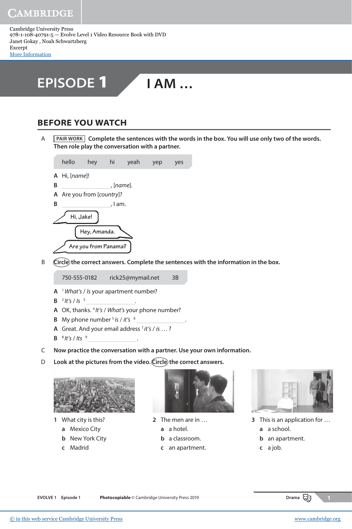AMBRIDGE

Cambridge University Press 978-1-108-40791-5 — Evolve Level 1 Video Resource Book with DVD Janet Gokay , Noah Schwartzberg Excerpt [More Information](www.cambridge.org/9781108407915)



## **BEFORE YOU WATCH**

 A **PAIR WORK Complete the sentences with the words in the box. You will use only two of the words. Then role play the conversation with a partner.**



B (Circle the correct answers. Complete the sentences with the information in the box.

750-555-0182 rick25@mymail.net 3B

- **A** <sup>1</sup>What's / Is your apartment number?
- **B**  $^{2}$  It's / Is  $^{3}$
- **A** OK, thanks. <sup>4</sup> It's / What's your phone number?
- **B** My phone number  $5$  is / it's  $6$
- A Great. And your email address<sup>7</sup> it's / is ...?
- **B**  $8$  It's / Its  $9$
- C **Now practice the conversation with a partner. Use your own information.**
- D **Look at the pictures from the video. Circle the correct answers.**

.

.



- **1** What city is this?
	- **a** Mexico City
	- **b** New York City
	- **c** Madrid



.

- **2** The men are in …
	- **a** a hotel.
	- **b** a classroom.
	- **c** an apartment.



- **3** This is an application for … **a** a school.
	- **b** an apartment.
	- **c** a job.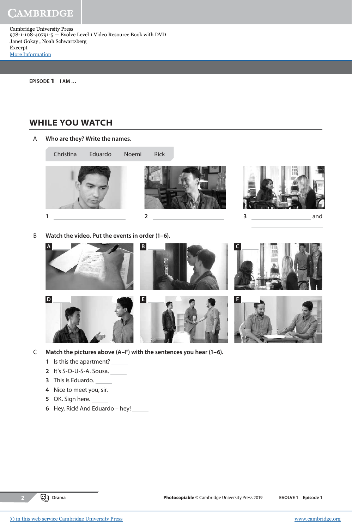CAMBRIDGE

Cambridge University Press 978-1-108-40791-5 — Evolve Level 1 Video Resource Book with DVD Janet Gokay , Noah Schwartzberg Excerpt [More Information](www.cambridge.org/9781108407915)

**EPISODE** 1 **I AM …**

## **WHILE YOU WATCH**

A **Who are they? Write the names.**



B **Watch the video. Put the events in order (1–6).**



- C **Match the pictures above (A–F) with the sentences you hear (1–6).**
	- **1** Is this the apartment?
	- **2** It's S-O-U-S-A. Sousa.
	- **3** This is Eduardo.
	- **4** Nice to meet you, sir.
	- **5** OK. Sign here.
	- **6** Hey, Rick! And Eduardo hey!

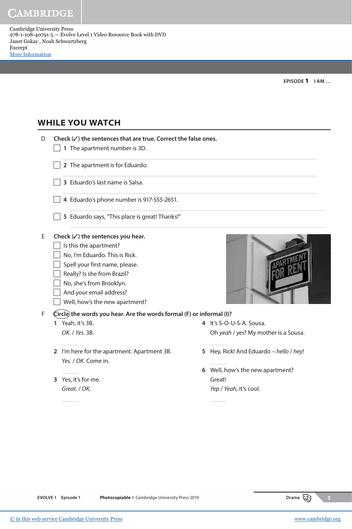CAMBRIDGE

Cambridge University Press 978-1-108-40791-5 — Evolve Level 1 Video Resource Book with DVD Janet Gokay , Noah Schwartzberg Excerpt [More Information](www.cambridge.org/9781108407915)

**EPISODE** 1 **I AM …**

## **WHILE YOU WATCH**

| D | Check $(\checkmark)$ the sentences that are true. Correct the false ones. |                                         |  |  |  |  |
|---|---------------------------------------------------------------------------|-----------------------------------------|--|--|--|--|
|   | 1 The apartment number is 3D.                                             |                                         |  |  |  |  |
|   | 2 The apartment is for Eduardo.                                           |                                         |  |  |  |  |
|   | 3 Eduardo's last name is Salsa.                                           |                                         |  |  |  |  |
|   | 4 Eduardo's phone number is 917-555-2651.                                 |                                         |  |  |  |  |
|   | 5 Eduardo says, "This place is great! Thanks!"                            |                                         |  |  |  |  |
| E | Check $(\checkmark)$ the sentences you hear.                              |                                         |  |  |  |  |
|   | Is this the apartment?                                                    |                                         |  |  |  |  |
|   | No, I'm Eduardo. This is Rick.                                            |                                         |  |  |  |  |
|   | Spell your first name, please.                                            |                                         |  |  |  |  |
|   | Really? Is she from Brazil?                                               |                                         |  |  |  |  |
|   | No, she's from Brooklyn.                                                  |                                         |  |  |  |  |
|   | And your email address?                                                   |                                         |  |  |  |  |
|   | Well, how's the new apartment?                                            |                                         |  |  |  |  |
| F | (Circle) the words you hear. Are the words formal (F) or informal (I)?    |                                         |  |  |  |  |
|   | Yeah, it's 3B.<br>1                                                       | 4 It's S-O-U-S-A. Sousa.                |  |  |  |  |
|   | OK. / Yes. 3B.                                                            | Oh yeah / yes? My mother is a Sousa.    |  |  |  |  |
|   | 2 I'm here for the apartment. Apartment 3B.<br>Yes. / OK. Come in.        | 5 Hey, Rick! And Eduardo - hello / hey! |  |  |  |  |
|   |                                                                           | 6 Well, how's the new apartment?        |  |  |  |  |
|   | Yes, it's for me.<br>3                                                    | Great!                                  |  |  |  |  |
|   | Great. / OK.                                                              | Yep / Yeah, it's cool.                  |  |  |  |  |
|   |                                                                           |                                         |  |  |  |  |
|   |                                                                           |                                         |  |  |  |  |
|   |                                                                           |                                         |  |  |  |  |
|   |                                                                           |                                         |  |  |  |  |



**EVOLVE 1 Episode 1 Photocopiable** © Cambridge University Press 2019 **Drama Drama Drama**